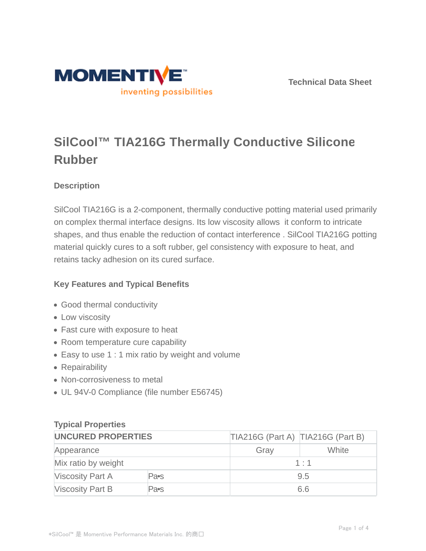

**Technical Data Sheet**

# **SilCool™ TIA216G Thermally Conductive Silicone Rubber**

# **Description**

SilCool TIA216G is a 2-component, thermally conductive potting material used primarily on complex thermal interface designs. Its low viscosity allows it conform to intricate shapes, and thus enable the reduction of contact interference . SilCool TIA216G potting material quickly cures to a soft rubber, gel consistency with exposure to heat, and retains tacky adhesion on its cured surface.

# **Key Features and Typical Benefits**

- Good thermal conductivity
- Low viscosity
- Fast cure with exposure to heat
- Room temperature cure capability
- Easy to use 1 : 1 mix ratio by weight and volume
- Repairability
- Non-corrosiveness to metal
- UL 94V-0 Compliance (file number E56745)

## **Typical Properties**

| <b>UNCURED PROPERTIES</b> |      | TIA216G (Part A) TIA216G (Part B) |              |
|---------------------------|------|-----------------------------------|--------------|
| Appearance                |      | Gray                              | <b>White</b> |
| Mix ratio by weight       |      | 1:1                               |              |
| <b>Viscosity Part A</b>   | Pa•s | 9.5                               |              |
| <b>Viscosity Part B</b>   | Pa∙s | 6.6                               |              |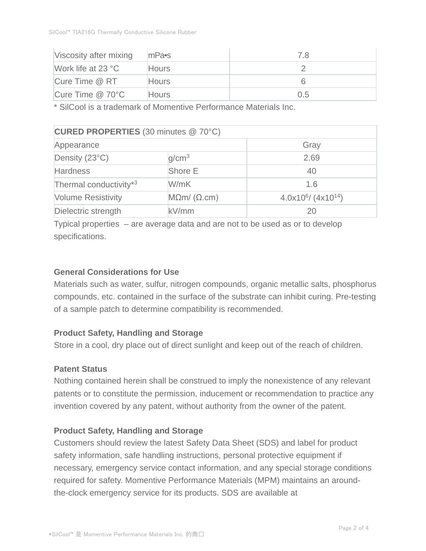| Viscosity after mixing | $ m$ Pa $\bullet$ s | 7.8 |
|------------------------|---------------------|-----|
| Work life at $23 °C$   | <b>Hours</b>        |     |
| Cure Time @ RT         | <b>Hours</b>        |     |
| Cure Time $@$ 70 $°C$  | <b>Hours</b>        | 0.5 |

\* SilCool is a trademark of Momentive Performance Materials Inc.

| CURED PROPERTIES (30 minutes @ 70°C) |                         |                                  |  |  |  |
|--------------------------------------|-------------------------|----------------------------------|--|--|--|
| Appearance                           |                         | Gray                             |  |  |  |
| Density (23°C)                       | q/cm <sup>3</sup>       | 2.69                             |  |  |  |
| <b>Hardness</b>                      | Shore E                 | 40                               |  |  |  |
| Thermal conductivity*3               | W/mK                    | 1.6                              |  |  |  |
| <b>Volume Resistivity</b>            | $M\Omega m/(\Omega.cm)$ | $4.0x10^6$ (4x10 <sup>14</sup> ) |  |  |  |
| Dielectric strength                  | kV/mm                   | 20                               |  |  |  |

Typical properties – are average data and are not to be used as or to develop specifications.

## **General Considerations for Use**

Materials such as water, sulfur, nitrogen compounds, organic metallic salts, phosphorus compounds, etc. contained in the surface of the substrate can inhibit curing. Pre-testing of a sample patch to determine compatibility is recommended.

#### **Product Safety, Handling and Storage**

Store in a cool, dry place out of direct sunlight and keep out of the reach of children.

#### **Patent Status**

Nothing contained herein shall be construed to imply the nonexistence of any relevant patents or to constitute the permission, inducement or recommendation to practice any invention covered by any patent, without authority from the owner of the patent.

#### **Product Safety, Handling and Storage**

Customers should review the latest Safety Data Sheet (SDS) and label for product safety information, safe handling instructions, personal protective equipment if necessary, emergency service contact information, and any special storage conditions required for safety. Momentive Performance Materials (MPM) maintains an aroundthe-clock emergency service for its products. SDS are available at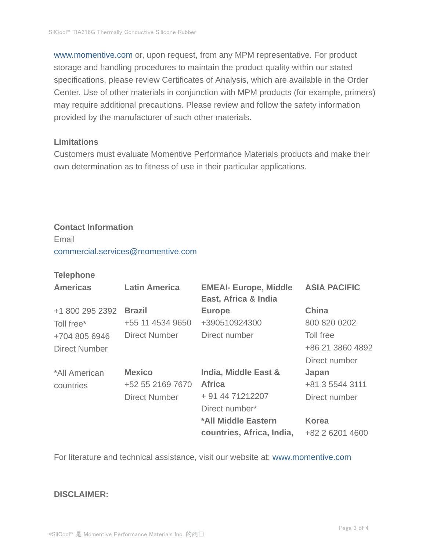www.momentive.com or, upon request, from any MPM representative. For product storage and handling procedures to maintain the product quality within our stated specifications, please review Certificates of Analysis, which are available in the Order Center. Use of other materials in conjunction with MPM products (for example, primers) may require additional precautions. Please review and follow the safety information provided by the manufacturer of such other materials.

#### **Limitations**

Customers must evaluate Momentive Performance Materials products and make their own determination as to fitness of use in their particular applications.

# **Contact Information**

Email commercial.services@momentive.com

#### **Telephone**

| <b>Americas</b> | <b>Latin America</b> | <b>EMEAI- Europe, Middle</b><br>East, Africa & India | <b>ASIA PACIFIC</b> |
|-----------------|----------------------|------------------------------------------------------|---------------------|
| +1 800 295 2392 | <b>Brazil</b>        | <b>Europe</b>                                        | <b>China</b>        |
| Toll free*      | +55 11 4534 9650     | +390510924300                                        | 800 820 0202        |
| +704 805 6946   | <b>Direct Number</b> | Direct number                                        | Toll free           |
| Direct Number   |                      |                                                      | +86 21 3860 4892    |
|                 |                      |                                                      | Direct number       |
| *All American   | <b>Mexico</b>        | <b>India, Middle East &amp;</b>                      | Japan               |
| countries       | +52 55 2169 7670     | <b>Africa</b>                                        | +81 3 5544 3111     |
|                 | <b>Direct Number</b> | + 91 44 71212207                                     | Direct number       |
|                 |                      | Direct number*                                       |                     |
|                 |                      | *All Middle Eastern                                  | <b>Korea</b>        |
|                 |                      | countries, Africa, India,                            | +82 2 6201 4600     |

For literature and technical assistance, visit our website at: www.momentive.com

#### **DISCLAIMER:**